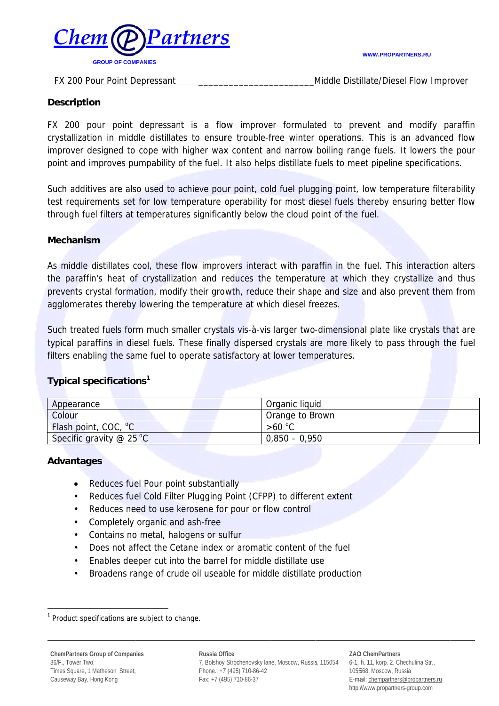

#### FX 200 Pour Point Depressant

Middle Distillate/Diesel Flow Improver

#### **Description**

FX 200 pour point depressant is a flow improver formulated to prevent and modify paraffin crystallization in middle distillates to ensure trouble-free winter operations. This is an advanced flow improver designed to cope with higher wax content and narrow boiling range fuels. It lowers the pour point and improves pumpability of the fuel. It also helps distillate fuels to meet pipeline specifications.

Such additives are also used to achieve pour point, cold fuel plugging point, low temperature filterability test requirements set for low temperature operability for most diesel fuels thereby ensuring better flow through fuel filters at temperatures significantly below the cloud point of the fuel.

## **Mechanism**

As middle distillates cool, these flow improvers interact with paraffin in the fuel. This interaction alters the paraffin's heat of crystallization and reduces the temperature at which they crystallize and thus prevents crystal formation, modify their growth, reduce their shape and size and also prevent them from agglomerates thereby lowering the temperature at which diesel freezes.

Such treated fuels form much smaller crystals vis-a-vis larger two-dimensional plate like crystals that are typical paraffins in diesel fuels. These finally dispersed crystals are more likely to pass through the fuel filters enabling the same fuel to operate satisfactory at lower temperatures.

# Typical specifications<sup>1</sup>

| Appearance                       | Organic liquid  |
|----------------------------------|-----------------|
| Colour                           | Orange to Brown |
| Flash point, COC, <sup>o</sup> C | $>60^{\circ}$ C |
| Specific gravity $@$ 25 °C       | $0.850 - 0.950$ |

## **Advantages**

- Reduces fuel Pour point substantially  $\bullet$
- $\bullet$ Reduces fuel Cold Filter Plugging Point (CFPP) to different extent
- Reduces need to use kerosene for pour or flow control
- Completely organic and ash-free  $\bullet$
- Contains no metal, halogens or sulfur
- Does not affect the Cetane index or aromatic content of the fuel  $\bullet$
- Enables deeper cut into the barrel for middle distillate use  $\bullet$
- Broadens range of crude oil useable for middle distillate production

Russia Office 7, Bolshoy Strochenovsky lane, Moscow, Russia, 115054 Phone.: +7 (495) 710-86-42 Fax: +7 (495) 710-86-37

#### **ZAO ChemPartners** 6-1, h. 11, korp. 2, Chechulina Str., 105568, Moscow, Russia

E-mail: chempartners@propartners.ru http://www.propartners-group.com

 $1$  Product specifications are subject to change.